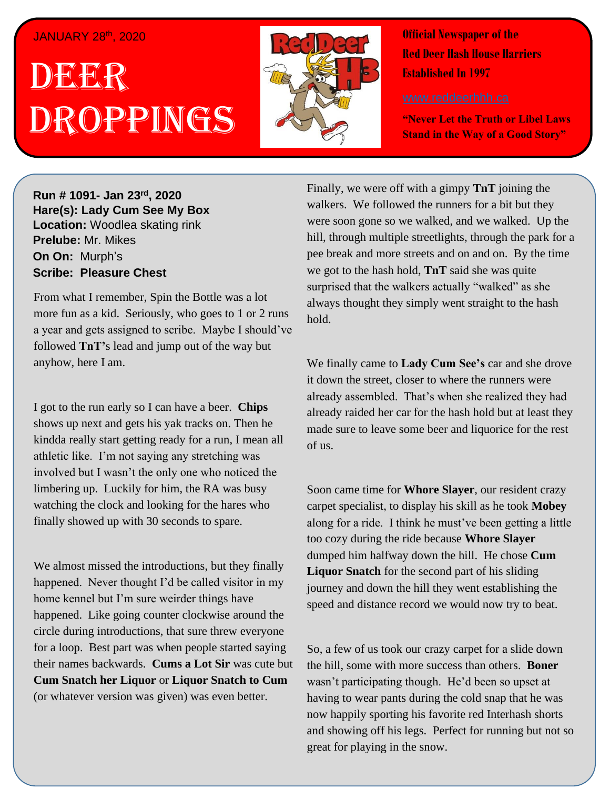#### JANUARY 28th, 2020

# . 1 DEER , 2018 Droppings



**Official Newspaper of the Red Deer Hash House Harriers Established In 1997** 

**"Never Let the Truth or Libel Laws Stand in the Way of a Good Story"**

**Run # 1075- Oct. 3 rd, 2019 Hare(s): Deep Throat with a little help from her Run # 1091- Jan 23rd, 2020 virgin friend Hare(s): Lady Cum See My Box Location:** Woodlea skating rink **Prelube:** Mr. Mikes **On On: Murph's Sir Sir** Marphy *Have you ever go out after a large strain ward day of a series* $\mathbb{R}^n$ 

From what I remember, Spin the Bottle was a lot more fun as a kid. Seriously, who goes to 1 or 2 runs followed **TnT'**s lead and jump out of the way but to be some of my friends out at State and Main and Main and Main and Main and Main and Main and Main and Main a a year and gets assigned to scribe. Maybe I should've

I got to the run early so I can have a beer. **Chips** kindda really start getting ready for a run, I mean all athletic like. I'm not saying any stretching was involved but I wasn't the only one who noticed the watching the clock and looking for the hares who finally showed up with 30 seconds to spare. shows up next and gets his yak tracks on. Then he limbering up. Luckily for him, the RA was busy

We almost missed the introductions, but they finally happened. Never thought I'd be called visitor in my home kennel but I'm sure weirder things have happened. Like going counter clockwise around the for a loop. Best part was when people started saying their names backwards. **Cums a Lot Sir** was cute but **Cum Snatch her Liquor or Liquor Snatch to Cum** (or whatever version was given) was even better. circle during introductions, that sure threw everyone

Finally, we were off with a gimpy **TnT** joining the walkers. We followed the runners for a bit but they were soon gone so we walked, and we walked. Up the hill, through multiple streetlights, through the park for a pee break and more streets and on and on. By the time we got to the hash hold, **TnT** said she was quite surprised that the walkers actually "walked" as she always thought they simply went straight to the hash hold.

We finally came to **Lady Cum See's** car and she drove it down the street, closer to where the runners were already assembled. That's when she realized they had already raided her car for the hash hold but at least they made sure to leave some beer and liquorice for the rest of us.

Soon came time for **Whore Slayer**, our resident crazy carpet specialist, to display his skill as he took **Mobey** along for a ride. I think he must've been getting a little too cozy during the ride because **Whore Slayer** dumped him halfway down the hill. He chose **Cum Liquor Snatch** for the second part of his sliding journey and down the hill they went establishing the speed and distance record we would now try to beat.

So, a few of us took our crazy carpet for a slide down the hill, some with more success than others. **Boner** wasn't participating though. He'd been so upset at having to wear pants during the cold snap that he was now happily sporting his favorite red Interhash shorts and showing off his legs. Perfect for running but not so great for playing in the snow.